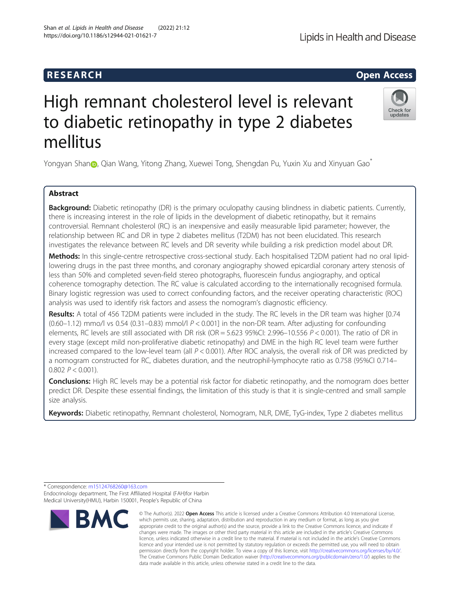# High remnant cholesterol level is relevant to diabetic retinopathy in type 2 diabetes mellitus

Yo[n](http://orcid.org/0000-0002-6594-1392)gyan Shan , Qian Wang, Yitong Zhang, Xuewei Tong, Shengdan Pu, Yuxin Xu and Xinyuan Gao\*

### Abstract

\* Correspondence: [m15124768260@163.com](mailto:m15124768260@163.com)

Endocrinology department, The First Affiliated Hospital (FAH)for Harbin

**Background:** Diabetic retinopathy (DR) is the primary oculopathy causing blindness in diabetic patients. Currently, there is increasing interest in the role of lipids in the development of diabetic retinopathy, but it remains controversial. Remnant cholesterol (RC) is an inexpensive and easily measurable lipid parameter; however, the relationship between RC and DR in type 2 diabetes mellitus (T2DM) has not been elucidated. This research investigates the relevance between RC levels and DR severity while building a risk prediction model about DR.

Methods: In this single-centre retrospective cross-sectional study. Each hospitalised T2DM patient had no oral lipidlowering drugs in the past three months, and coronary angiography showed epicardial coronary artery stenosis of less than 50% and completed seven-field stereo photographs, fluorescein fundus angiography, and optical coherence tomography detection. The RC value is calculated according to the internationally recognised formula. Binary logistic regression was used to correct confounding factors, and the receiver operating characteristic (ROC) analysis was used to identify risk factors and assess the nomogram's diagnostic efficiency.

Results: A total of 456 T2DM patients were included in the study. The RC levels in the DR team was higher [0.74  $(0.60-1.12)$  mmo/l vs 0.54  $(0.31-0.83)$  mmol/l  $P < 0.001$ ] in the non-DR team. After adjusting for confounding elements, RC levels are still associated with DR risk (OR = 5.623 95%CI: 2.996–10.556  $P < 0.001$ ). The ratio of DR in every stage (except mild non-proliferative diabetic retinopathy) and DME in the high RC level team were further increased compared to the low-level team (all  $P < 0.001$ ). After ROC analysis, the overall risk of DR was predicted by a nomogram constructed for RC, diabetes duration, and the neutrophil-lymphocyte ratio as 0.758 (95%CI 0.714– 0.802  $P < 0.001$ ).

Conclusions: High RC levels may be a potential risk factor for diabetic retinopathy, and the nomogram does better predict DR. Despite these essential findings, the limitation of this study is that it is single-centred and small sample size analysis.

Keywords: Diabetic retinopathy, Remnant cholesterol, Nomogram, NLR, DME, TyG-index, Type 2 diabetes mellitus

data made available in this article, unless otherwise stated in a credit line to the data.

licence and your intended use is not permitted by statutory regulation or exceeds the permitted use, you will need to obtain permission directly from the copyright holder. To view a copy of this licence, visit [http://creativecommons.org/licenses/by/4.0/.](http://creativecommons.org/licenses/by/4.0/) The Creative Commons Public Domain Dedication waiver [\(http://creativecommons.org/publicdomain/zero/1.0/](http://creativecommons.org/publicdomain/zero/1.0/)) applies to the



**RESEARCH CHEAR CHEAR CHEAR CHEAR CHEAR CHEAR CHEAR CHEAR CHEAR CHEAR CHEAR CHEAR CHEAR CHEAR CHEAR CHEAR CHEAR** 

Medical University(HMU), Harbin 150001, People's Republic of China © The Author(s), 2022 **Open Access** This article is licensed under a Creative Commons Attribution 4.0 International License, **BMC** which permits use, sharing, adaptation, distribution and reproduction in any medium or format, as long as you give appropriate credit to the original author(s) and the source, provide a link to the Creative Commons licence, and indicate if changes were made. The images or other third party material in this article are included in the article's Creative Commons licence, unless indicated otherwise in a credit line to the material. If material is not included in the article's Creative Commons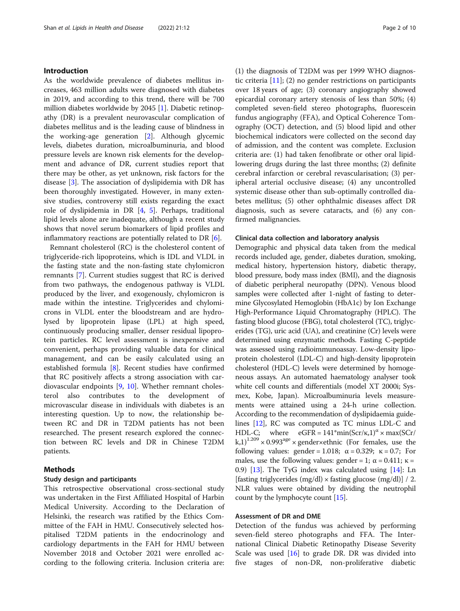#### Introduction

As the worldwide prevalence of diabetes mellitus increases, 463 million adults were diagnosed with diabetes in 2019, and according to this trend, there will be 700 million diabetes worldwide by 2045 [[1\]](#page-8-0). Diabetic retinopathy (DR) is a prevalent neurovascular complication of diabetes mellitus and is the leading cause of blindness in the working-age generation [\[2](#page-8-0)]. Although glycemic levels, diabetes duration, microalbuminuria, and blood pressure levels are known risk elements for the development and advance of DR, current studies report that there may be other, as yet unknown, risk factors for the disease [[3\]](#page-8-0). The association of dyslipidemia with DR has been thoroughly investigated. However, in many extensive studies, controversy still exists regarding the exact role of dyslipidemia in DR [\[4](#page-8-0), [5](#page-8-0)]. Perhaps, traditional lipid levels alone are inadequate, although a recent study shows that novel serum biomarkers of lipid profiles and inflammatory reactions are potentially related to DR  $[6]$  $[6]$ .

Remnant cholesterol (RC) is the cholesterol content of triglyceride-rich lipoproteins, which is IDL and VLDL in the fasting state and the non-fasting state chylomicron remnants [[7\]](#page-8-0). Current studies suggest that RC is derived from two pathways, the endogenous pathway is VLDL produced by the liver, and exogenously, chylomicron is made within the intestine. Triglycerides and chylomicrons in VLDL enter the bloodstream and are hydrolysed by lipoprotein lipase (LPL) at high speed, continuously producing smaller, denser residual lipoprotein particles. RC level assessment is inexpensive and convenient, perhaps providing valuable data for clinical management, and can be easily calculated using an established formula [[8\]](#page-8-0). Recent studies have confirmed that RC positively affects a strong association with cardiovascular endpoints [\[9](#page-8-0), [10](#page-8-0)]. Whether remnant cholesterol also contributes to the development of microvascular disease in individuals with diabetes is an interesting question. Up to now, the relationship between RC and DR in T2DM patients has not been researched. The present research explored the connection between RC levels and DR in Chinese T2DM patients.

#### Methods

#### Study design and participants

This retrospective observational cross-sectional study was undertaken in the First Affiliated Hospital of Harbin Medical University. According to the Declaration of Helsinki, the research was ratified by the Ethics Committee of the FAH in HMU. Consecutively selected hospitalised T2DM patients in the endocrinology and cardiology departments in the FAH for HMU between November 2018 and October 2021 were enrolled according to the following criteria. Inclusion criteria are:

(1) the diagnosis of T2DM was per 1999 WHO diagnostic criteria  $[11]$  $[11]$  $[11]$ ; (2) no gender restrictions on participants over 18 years of age; (3) coronary angiography showed epicardial coronary artery stenosis of less than 50%; (4) completed seven-field stereo photographs, fluorescein fundus angiography (FFA), and Optical Coherence Tomography (OCT) detection, and (5) blood lipid and other biochemical indicators were collected on the second day of admission, and the content was complete. Exclusion criteria are: (1) had taken fenofibrate or other oral lipidlowering drugs during the last three months; (2) definite cerebral infarction or cerebral revascularisation; (3) peripheral arterial occlusive disease; (4) any uncontrolled systemic disease other than sub-optimally controlled diabetes mellitus; (5) other ophthalmic diseases affect DR diagnosis, such as severe cataracts, and (6) any confirmed malignancies.

#### Clinical data collection and laboratory analysis

Demographic and physical data taken from the medical records included age, gender, diabetes duration, smoking, medical history, hypertension history, diabetic therapy, blood pressure, body mass index (BMI), and the diagnosis of diabetic peripheral neuropathy (DPN). Venous blood samples were collected after 1-night of fasting to determine Glycosylated Hemoglobin (HbA1c) by Ion Exchange High-Performance Liquid Chromatography (HPLC). The fasting blood glucose (FBG), total cholesterol (TC), triglycerides (TG), uric acid (UA), and creatinine (Cr) levels were determined using enzymatic methods. Fasting C-peptide was assessed using radioimmunoassay. Low-density lipoprotein cholesterol (LDL-C) and high-density lipoprotein cholesterol (HDL-C) levels were determined by homogeneous assays. An automated haematology analyser took white cell counts and differentials (model XT 2000i; Sysmex, Kobe, Japan). Microalbuminuria levels measurements were attained using a 24-h urine collection. According to the recommendation of dyslipidaemia guidelines [[12](#page-8-0)], RC was computed as TC minus LDL-C and HDL-C; where  $eGFR = 141*min(Scr/\kappa,1)^\alpha \times max(SCr/\kappa)$  $(k,1)^{1.209}$  × 0.993<sup>age</sup> × gender×ethnic (For females, use the following values: gender = 1.018;  $\alpha = 0.329$ ;  $\kappa = 0.7$ ; For males, use the following values: gender = 1;  $\alpha$  = 0.411;  $\kappa$  = 0.9) [\[13\]](#page-8-0). The TyG index was calculated using [\[14](#page-8-0)]: Ln [fasting triglycerides (mg/dl) × fasting glucose (mg/dl)] / 2. NLR values were obtained by dividing the neutrophil count by the lymphocyte count [\[15\]](#page-8-0).

#### Assessment of DR and DME

Detection of the fundus was achieved by performing seven-field stereo photographs and FFA. The International Clinical Diabetic Retinopathy Disease Severity Scale was used [\[16](#page-8-0)] to grade DR. DR was divided into five stages of non-DR, non-proliferative diabetic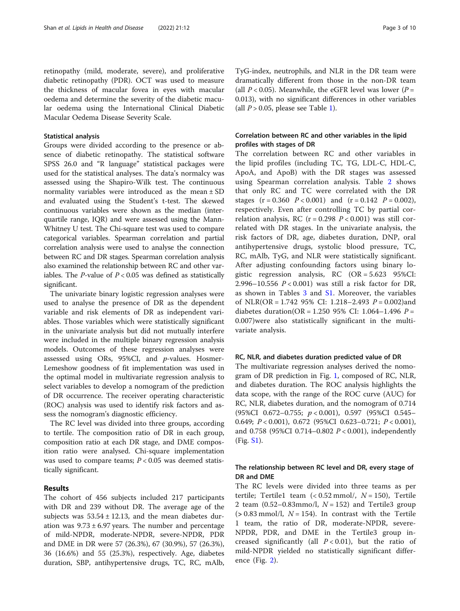retinopathy (mild, moderate, severe), and proliferative diabetic retinopathy (PDR). OCT was used to measure the thickness of macular fovea in eyes with macular oedema and determine the severity of the diabetic macular oedema using the International Clinical Diabetic Macular Oedema Disease Severity Scale.

#### Statistical analysis

Groups were divided according to the presence or absence of diabetic retinopathy. The statistical software SPSS 26.0 and "R language" statistical packages were used for the statistical analyses. The data's normalcy was assessed using the Shapiro-Wilk test. The continuous normality variables were introduced as the mean ± SD and evaluated using the Student's t-test. The skewed continuous variables were shown as the median (interquartile range, IQR) and were assessed using the Mann-Whitney U test. The Chi-square test was used to compare categorical variables. Spearman correlation and partial correlation analysis were used to analyse the connection between RC and DR stages. Spearman correlation analysis also examined the relationship between RC and other variables. The *P*-value of  $P < 0.05$  was defined as statistically significant.

The univariate binary logistic regression analyses were used to analyse the presence of DR as the dependent variable and risk elements of DR as independent variables. Those variables which were statistically significant in the univariate analysis but did not mutually interfere were included in the multiple binary regression analysis models. Outcomes of these regression analyses were assessed using ORs, 95%CI, and p-values. Hosmer-Lemeshow goodness of fit implementation was used in the optimal model in multivariate regression analysis to select variables to develop a nomogram of the prediction of DR occurrence. The receiver operating characteristic (ROC) analysis was used to identify risk factors and assess the nomogram's diagnostic efficiency.

The RC level was divided into three groups, according to tertile. The composition ratio of DR in each group, composition ratio at each DR stage, and DME composition ratio were analysed. Chi-square implementation was used to compare teams;  $P < 0.05$  was deemed statistically significant.

#### Results

The cohort of 456 subjects included 217 participants with DR and 239 without DR. The average age of the subjects was  $53.54 \pm 12.13$ , and the mean diabetes duration was  $9.73 \pm 6.97$  years. The number and percentage of mild-NPDR, moderate-NPDR, severe-NPDR, PDR and DME in DR were 57 (26.3%), 67 (30.9%), 57 (26.3%), 36 (16.6%) and 55 (25.3%), respectively. Age, diabetes duration, SBP, antihypertensive drugs, TC, RC, mAlb, TyG-index, neutrophils, and NLR in the DR team were dramatically different from those in the non-DR team (all  $P < 0.05$ ). Meanwhile, the eGFR level was lower ( $P =$ 0.013), with no significant differences in other variables (all  $P > 0.05$ , please see Table [1](#page-3-0)).

#### Correlation between RC and other variables in the lipid profiles with stages of DR

The correlation between RC and other variables in the lipid profiles (including TC, TG, LDL-C, HDL-C, ApoA, and ApoB) with the DR stages was assessed using Spearman correlation analysis. Table [2](#page-4-0) shows that only RC and TC were correlated with the DR stages  $(r = 0.360 \, P < 0.001)$  and  $(r = 0.142 \, P = 0.002)$ , respectively. Even after controlling TC by partial correlation analysis, RC ( $r = 0.298$   $P < 0.001$ ) was still correlated with DR stages. In the univariate analysis, the risk factors of DR, age, diabetes duration, DNP, oral antihypertensive drugs, systolic blood pressure, TC, RC, mAlb, TyG, and NLR were statistically significant. After adjusting confounding factors using binary logistic regression analysis, RC (OR = 5.623 95%CI: 2.996–10.556  $P < 0.001$ ) was still a risk factor for DR, as shown in Tables [3](#page-4-0) and [S1](#page-7-0). Moreover, the variables of NLR(OR = 1.742 95% CI: 1.218–2.493  $P = 0.002$ )and diabetes duration(OR = 1.250 95% CI: 1.064-1.496  $P =$ 0.007)were also statistically significant in the multivariate analysis.

#### RC, NLR, and diabetes duration predicted value of DR

The multivariate regression analyses derived the nomogram of DR prediction in Fig. [1](#page-5-0), composed of RC, NLR, and diabetes duration. The ROC analysis highlights the data scope, with the range of the ROC curve (AUC) for RC, NLR, diabetes duration, and the nomogram of 0.714 (95%CI 0.672–0.755; p < 0.001), 0.597 (95%CI 0.545– 0.649; P < 0.001), 0.672 (95%CI 0.623–0.721; P < 0.001), and 0.758 (95%CI 0.714–0.802 P < 0.001), independently (Fig. [S1](#page-7-0)).

#### The relationship between RC level and DR, every stage of DR and DME

The RC levels were divided into three teams as per tertile; Tertile1 team  $\left($  < 0.52 mmol $/$ ,  $N = 150$ ), Tertile 2 team  $(0.52-0.83$ mmo/l,  $N = 152$ ) and Tertile3 group  $(> 0.83$  mmol/l,  $N = 154$ ). In contrast with the Tertile 1 team, the ratio of DR, moderate-NPDR, severe-NPDR, PDR, and DME in the Tertile3 group increased significantly (all  $P < 0.01$ ), but the ratio of mild-NPDR yielded no statistically significant difference (Fig. [2\)](#page-6-0).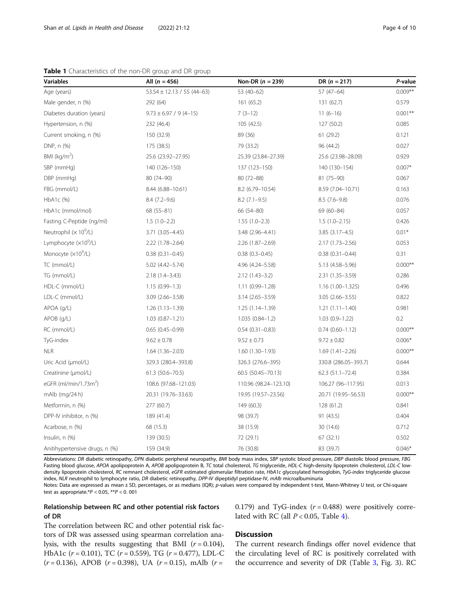<span id="page-3-0"></span>Table 1 Characteristics of the non-DR group and DR group

| <b>Variables</b>                  | All $(n = 456)$                  | Non-DR $(n = 239)$    | DR $(n = 217)$       | P-value   |
|-----------------------------------|----------------------------------|-----------------------|----------------------|-----------|
| Age (years)                       | $53.54 \pm 12.13 / 55 (44 - 63)$ | 53 (40-62)            | $57(47-64)$          | $0.009**$ |
| Male gender, n (%)                | 292 (64)                         | 161 (65.2)            | 131 (62.7)           | 0.579     |
| Diabetes duration (years)         | $9.73 \pm 6.97 / 9 (4 - 15)$     | $7(3-12)$             | $11(6-16)$           | $0.001**$ |
| Hypertension, n (%)               | 232 (46.4)                       | 105(42.5)             | 127 (50.2)           | 0.085     |
| Current smoking, n (%)            | 150 (32.9)                       | 89 (36)               | 61(29.2)             | 0.121     |
| DNP, n (%)                        | 175 (38.5)                       | 79 (33.2)             | 96 (44.2)            | 0.027     |
| BMI ( $kg/m2$ )                   | 25.6 (23.92-27.95)               | 25.39 (23.84-27.39)   | 25.6 (23.98-28.09)   | 0.929     |
| SBP (mmHg)                        | 140 (126-150)                    | 137 (123-150)         | 140 (130-154)        | $0.007*$  |
| DBP (mmHg)                        | 80 (74-90)                       | 80 (72-88)            | 81 (75-90)           | 0.067     |
| FBG (mmol/L)                      | 8.44 (6.88-10.61)                | 8.2 (6.79-10.54)      | 8.59 (7.04-10.71)    | 0.163     |
| HbA1c (%)                         | $8.4(7.2 - 9.6)$                 | $8.2$ (7.1-9.5)       | $8.5(7.6-9.8)$       | 0.076     |
| HbA1c (mmol/mol)                  | $68(55-81)$                      | 66 (54-80)            | 69 (60-84)           | 0.057     |
| Fasting C-Peptide (ng/ml)         | $1.5(1.0-2.2)$                   | $1.55(1.0-2.3)$       | $1.5(1.0-2.15)$      | 0.426     |
| Neutrophil $(x 10^9/L)$           | 3.71 (3.05-4.45)                 | 3.48 (2.96-4.41)      | $3.85(3.17-4.5)$     | $0.01*$   |
| Lymphocyte (x10 <sup>9</sup> /L)  | $2.22(1.78-2.64)$                | 2.26 (1.87-2.69)      | $2.17(1.73 - 2.56)$  | 0.053     |
| Monocyte (x10 <sup>9</sup> /L)    | $0.38(0.31 - 0.45)$              | $0.38(0.3 - 0.45)$    | $0.38(0.31 - 0.44)$  | 0.31      |
| TC (mmol/L)                       | 5.02 (4.42-5.74)                 | 4.96 (4.24 - 5.58)    | 5.13 (4.58-5.96)     | $0.000**$ |
| TG (mmol/L)                       | $2.18(1.4 - 3.43)$               | $2.12(1.43-3.2)$      | 2.31 (1.35 - 3.59)   | 0.286     |
| HDL-C (mmol/L)                    | $1.15(0.99 - 1.3)$               | 1.11 (0.99-1.28)      | $1.16(1.00-1.325)$   | 0.496     |
| LDL-C (mmol/L)                    | 3.09 (2.66-3.58)                 | $3.14(2.65 - 3.59)$   | $3.05(2.66 - 3.55)$  | 0.822     |
| APOA (g/L)                        | $1.26(1.13-1.39)$                | $1.25(1.14-1.39)$     | $1.21(1.11 - 1.40)$  | 0.981     |
| APOB (g/L)                        | $1.03(0.87 - 1.21)$              | $1.035(0.84-1.2)$     | $1.03(0.9-1.22)$     | 0.2       |
| RC (mmol/L)                       | $0.65(0.45-0.99)$                | $0.54(0.31 - 0.83)$   | $0.74(0.60 - 1.12)$  | $0.000**$ |
| TyG-index                         | $9.62 \pm 0.78$                  | $9.52 \pm 0.73$       | $9.72 \pm 0.82$      | $0.006*$  |
| <b>NLR</b>                        | $1.64(1.36 - 2.03)$              | $1.60(1.30-1.93)$     | $1.69(1.41 - 2.26)$  | $0.000**$ |
| Uric Acid (µmol/L)                | 329.3 (280.4-393.8)              | 326.3 (276.6-395)     | 330.8 (286.05-393.7) | 0.644     |
| Creatinine (µmol/L)               | $61.3(50.6 - 70.5)$              | 60.5 (50.45-70.13)    | $62.3(51.1 - 72.4)$  | 0.384     |
| eGFR (ml/min/1.73m <sup>2</sup> ) | 108.6 (97.68-121.03)             | 110.96 (98.24-123.10) | 106.27 (96-117.95)   | 0.013     |
| $mAlb$ (mg/24 h)                  | 20.31 (19.76-33.63)              | 19.95 (19.57-23.56)   | 20.71 (19.95-56.53)  | $0.000**$ |
| Metformin, n (%)                  | 277 (60.7)                       | 149 (60.3)            | 128 (61.2)           | 0.841     |
| DPP-IV inhibitor, n (%)           | 189 (41.4)                       | 98 (39.7)             | 91 (43.5)            | 0.404     |
| Acarbose, n (%)                   | 68 (15.3)                        | 38 (15.9)             | 30 (14.6)            | 0.712     |
| Insulin, n (%)                    | 139 (30.5)                       | 72 (29.1)             | 67(32.1)             | 0.502     |
| Anitihypertensive drugs, n (%)    | 159 (34.9)                       | 76 (30.8)             | 83 (39.7)            | $0.046*$  |

Abbreviations: DR diabetic retinopathy, DPN diabetic peripheral neuropathy, BMI body mass index, SBP systolic blood pressure, DBP diastolic blood pressure, FBG Fasting blood glucose, APOA apolipoprotein A, APOB apolipoprotein B, TC total cholesterol, TG triglyceride, HDL-C high-density lipoprotein cholesterol, LDL-C lowdensity lipoprotein cholesterol, RC remnant cholesterol, eGFR estimated glomerular filtration rate, HbA1c glycosylated hemoglobin, TyG-index triglyceride glucose index, NLR neutrophil to lymphocyte ratio, DR diabetic retinopathy, DPP-IV dipeptidyl peptidase-IV, mAlb microalbuminuria

Notes: Data are expressed as mean ± SD, percentages, or as medians (IQR); p-values were compared by independent t-test, Mann-Whitney U test, or Chi-square test as appropriate.\* $P < 0.05$ , \*\* $P < 0.001$ 

#### Relationship between RC and other potential risk factors of DR

0.179) and TyG-index  $(r = 0.488)$  were positively correlated with RC (all  $P < 0.05$ , Table [4](#page-7-0)).

The correlation between RC and other potential risk factors of DR was assessed using spearman correlation analysis, with the results suggesting that BMI  $(r = 0.104)$ , HbA1c ( $r = 0.101$ ), TC ( $r = 0.559$ ), TG ( $r = 0.477$ ), LDL-C  $(r = 0.136)$ , APOB  $(r = 0.398)$ , UA  $(r = 0.15)$ , mAlb  $(r = 0.136)$ 

#### **Discussion**

The current research findings offer novel evidence that the circulating level of RC is positively correlated with the occurrence and severity of DR (Table [3,](#page-4-0) Fig. 3). RC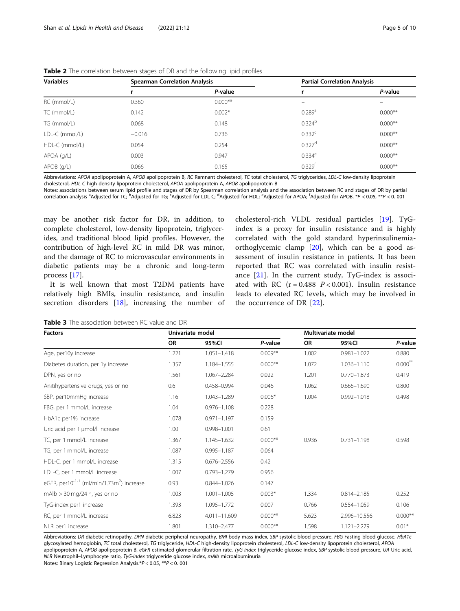| <b>Variables</b> | <b>Spearman Correlation Analysis</b> |           | <b>Partial Correlation Analysis</b> |           |  |
|------------------|--------------------------------------|-----------|-------------------------------------|-----------|--|
|                  |                                      | P-value   |                                     | P-value   |  |
| RC (mmol/L)      | 0.360                                | $0.000**$ |                                     |           |  |
| TC (mmol/L)      | 0.142                                | $0.002*$  | $0.289$ <sup>a</sup>                | $0.000**$ |  |
| TG (mmol/L)      | 0.068                                | 0.148     | 0.324 <sup>b</sup>                  | $0.000**$ |  |
| LDL-C (mmol/L)   | $-0.016$                             | 0.736     | $0.332^{\circ}$                     | $0.000**$ |  |
| HDL-C (mmol/L)   | 0.054                                | 0.254     | $0.327$ <sup>d</sup>                | $0.000**$ |  |
| $APOA$ (g/L)     | 0.003                                | 0.947     | $0.334^e$                           | $0.000**$ |  |
| $APOB$ ( $q/L$ ) | 0.066                                | 0.165     | $0.329^{t}$                         | $0.000**$ |  |

<span id="page-4-0"></span>

| Table 2 The correlation between stages of DR and the following lipid profiles |  |  |  |
|-------------------------------------------------------------------------------|--|--|--|
|                                                                               |  |  |  |

Abbreviations: APOA apolipoprotein A, APOB apolipoprotein B, RC Remnant cholesterol, TC total cholesterol, TG triglycerides, LDL-C low-density lipoprotein cholesterol, HDL-C high-density lipoprotein cholesterol, APOA apolipoprotein A, APOB apolipoprotein B

Notes: associations between serum lipid profile and stages of DR by Spearman correlation analysis and the association between RC and stages of DR by partial correlation analysis <sup>a</sup>Adjusted for TC; <sup>b</sup>Adjusted for TG; <sup>c</sup>Adjusted for LDL-C; <sup>d</sup>Adjusted for HDL; <sup>e</sup>Adjusted for APOA; <sup>f</sup>Adjusted for APOB. \*P < 0.05, \*\*P < 0. 001

may be another risk factor for DR, in addition, to complete cholesterol, low-density lipoprotein, triglycerides, and traditional blood lipid profiles. However, the contribution of high-level RC in mild DR was minor, and the damage of RC to microvascular environments in diabetic patients may be a chronic and long-term process [\[17](#page-8-0)].

It is well known that most T2DM patients have relatively high BMIs, insulin resistance, and insulin secretion disorders [\[18](#page-8-0)], increasing the number of

cholesterol-rich VLDL residual particles [\[19](#page-8-0)]. TyGindex is a proxy for insulin resistance and is highly correlated with the gold standard hyperinsulinemiaorthoglycemic clamp [[20\]](#page-8-0), which can be a good assessment of insulin resistance in patients. It has been reported that RC was correlated with insulin resistance [[21\]](#page-8-0). In the current study, TyG-index is associated with RC  $(r = 0.488 \, P < 0.001)$ . Insulin resistance leads to elevated RC levels, which may be involved in the occurrence of DR [\[22](#page-8-0)].

Table 3 The association between RC value and DR

| <b>Factors</b>                                                    | Univariate model |                 | Multivariate model |           |                 |              |
|-------------------------------------------------------------------|------------------|-----------------|--------------------|-----------|-----------------|--------------|
|                                                                   | <b>OR</b>        | 95%CI           | P-value            | <b>OR</b> | 95%CI           | P-value      |
| Age, per10y increase                                              | 1.221            | $1.051 - 1.418$ | $0.009**$          | 1.002     | $0.981 - 1.022$ | 0.880        |
| Diabetes duration, per 1y increase                                | 1.357            | 1.184-1.555     | $0.000**$          | 1.072     | 1.036-1.110     | $0.000^{**}$ |
| DPN, yes or no                                                    | 1.561            | 1.067-2.284     | 0.022              | 1.201     | $0.770 - 1.873$ | 0.419        |
| Anitihypertensive drugs, yes or no                                | 0.6              | 0.458-0.994     | 0.046              | 1.062     | $0.666 - 1.690$ | 0.800        |
| SBP, per10mmHg increase                                           | 1.16             | 1.043-1.289     | $0.006*$           | 1.004     | $0.992 - 1.018$ | 0.498        |
| FBG, per 1 mmol/L increase                                        | 1.04             | $0.976 - 1.108$ | 0.228              |           |                 |              |
| HbA1c per1% increase                                              | 1.078            | $0.971 - 1.197$ | 0.159              |           |                 |              |
| Uric acid per 1 µmol/l increase                                   | 1.00             | 0.998-1.001     | 0.61               |           |                 |              |
| TC, per 1 mmol/L increase                                         | 1.367            | 1.145-1.632     | $0.000**$          | 0.936     | $0.731 - 1.198$ | 0.598        |
| TG, per 1 mmol/L increase                                         | 1.087            | $0.995 - 1.187$ | 0.064              |           |                 |              |
| HDL-C, per 1 mmol/L increase                                      | 1.315            | $0.676 - 2.556$ | 0.42               |           |                 |              |
| LDL-C, per 1 mmol/L increase                                      | 1.007            | 0.793-1.279     | 0.956              |           |                 |              |
| eGFR, per10 <sup>-1-1</sup> (ml/min/1.73m <sup>2</sup> ) increase | 0.93             | 0.844-1.026     | 0.147              |           |                 |              |
| mAlb $>$ 30 mg/24 h, yes or no                                    | 1.003            | $1.001 - 1.005$ | $0.003*$           | 1.334     | $0.814 - 2.185$ | 0.252        |
| TyG-index per1 increase                                           | 1.393            | 1.095-1.772     | 0.007              | 0.766     | 0.554-1.059     | 0.106        |
| RC, per 1 mmol/L increase                                         | 6.823            | 4.011-11.609    | $0.000**$          | 5.623     | 2.996-10.556    | $0.000**$    |
| NLR per1 increase                                                 | 1.801            | 1.310-2.477     | $0.000**$          | 1.598     | $1.121 - 2.279$ | $0.01*$      |

Abbreviations: DR diabetic retinopathy, DPN diabetic peripheral neuropathy, BMI body mass index, SBP systolic blood pressure, FBG Fasting blood glucose, HbA1c glycosylated hemoglobin, TC total cholesterol, TG triglyceride, HDL-C high-density lipoprotein cholesterol, LDL-C low-density lipoprotein cholesterol, APOA apolipoprotein A, APOB apolipoprotein B, eGFR estimated glomerular filtration rate, TyG-index triglyceride glucose index, SBP systolic blood pressure, UA Uric acid, NLR Neutrophil–Lymphocyte ratio, TyG-index triglyceride glucose index, mAlb microalbuminuria

Notes: Binary Logistic Regression Analysis.\*P < 0.05, \*\*P < 0. 001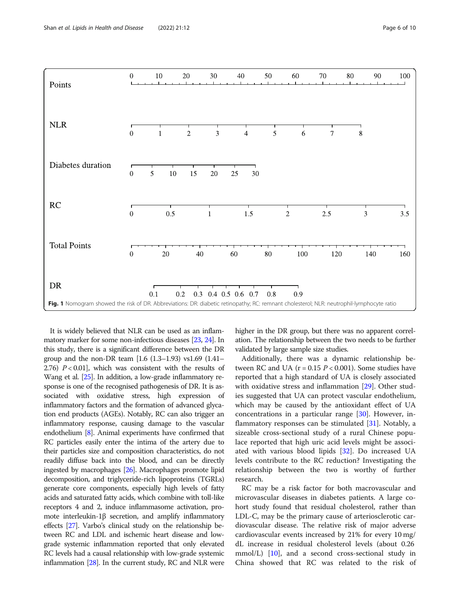<span id="page-5-0"></span>

It is widely believed that NLR can be used as an inflammatory marker for some non-infectious diseases [\[23](#page-8-0), [24](#page-8-0)]. In this study, there is a significant difference between the DR group and the non-DR team [1.6 (1.3–1.93) vs1.69 (1.41– 2.76)  $P < 0.01$ , which was consistent with the results of Wang et al. [\[25\]](#page-8-0). In addition, a low-grade inflammatory response is one of the recognised pathogenesis of DR. It is associated with oxidative stress, high expression of inflammatory factors and the formation of advanced glycation end products (AGEs). Notably, RC can also trigger an inflammatory response, causing damage to the vascular endothelium [[8\]](#page-8-0). Animal experiments have confirmed that RC particles easily enter the intima of the artery due to their particles size and composition characteristics, do not readily diffuse back into the blood, and can be directly ingested by macrophages [[26](#page-8-0)]. Macrophages promote lipid decomposition, and triglyceride-rich lipoproteins (TGRLs) generate core components, especially high levels of fatty acids and saturated fatty acids, which combine with toll-like receptors 4 and 2, induce inflammasome activation, promote interleukin-1β secretion, and amplify inflammatory effects [\[27\]](#page-8-0). Varbo's clinical study on the relationship between RC and LDL and ischemic heart disease and lowgrade systemic inflammation reported that only elevated RC levels had a causal relationship with low-grade systemic inflammation [\[28\]](#page-8-0). In the current study, RC and NLR were

higher in the DR group, but there was no apparent correlation. The relationship between the two needs to be further validated by large sample size studies.

Additionally, there was a dynamic relationship between RC and UA ( $r = 0.15$   $P < 0.001$ ). Some studies have reported that a high standard of UA is closely associated with oxidative stress and inflammation [[29](#page-8-0)]. Other studies suggested that UA can protect vascular endothelium, which may be caused by the antioxidant effect of UA concentrations in a particular range [\[30](#page-8-0)]. However, in-flammatory responses can be stimulated [[31\]](#page-8-0). Notably, a sizeable cross-sectional study of a rural Chinese populace reported that high uric acid levels might be associated with various blood lipids [\[32](#page-8-0)]. Do increased UA levels contribute to the RC reduction? Investigating the relationship between the two is worthy of further research.

RC may be a risk factor for both macrovascular and microvascular diseases in diabetes patients. A large cohort study found that residual cholesterol, rather than LDL-C, may be the primary cause of arteriosclerotic cardiovascular disease. The relative risk of major adverse cardiovascular events increased by 21% for every 10 mg/ dL increase in residual cholesterol levels (about 0.26 mmol/L) [\[10\]](#page-8-0), and a second cross-sectional study in China showed that RC was related to the risk of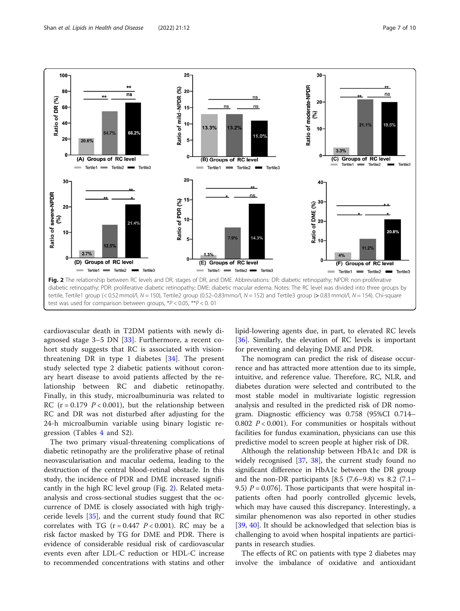<span id="page-6-0"></span>

cardiovascular death in T2DM patients with newly diagnosed stage 3–5 DN [[33\]](#page-8-0). Furthermore, a recent cohort study suggests that RC is associated with visionthreatening DR in type 1 diabetes [\[34](#page-9-0)]. The present study selected type 2 diabetic patients without coronary heart disease to avoid patients affected by the relationship between RC and diabetic retinopathy. Finally, in this study, microalbuminuria was related to RC ( $r = 0.179$   $P < 0.001$ ), but the relationship between RC and DR was not disturbed after adjusting for the 24-h microalbumin variable using binary logistic regression (Tables [4](#page-7-0) and S2).

The two primary visual-threatening complications of diabetic retinopathy are the proliferative phase of retinal neovascularisation and macular oedema, leading to the destruction of the central blood-retinal obstacle. In this study, the incidence of PDR and DME increased significantly in the high RC level group (Fig. 2). Related metaanalysis and cross-sectional studies suggest that the occurrence of DME is closely associated with high triglyceride levels [[35\]](#page-9-0), and the current study found that RC correlates with TG ( $r = 0.447$   $P < 0.001$ ). RC may be a risk factor masked by TG for DME and PDR. There is evidence of considerable residual risk of cardiovascular events even after LDL-C reduction or HDL-C increase to recommended concentrations with statins and other lipid-lowering agents due, in part, to elevated RC levels [[36\]](#page-9-0). Similarly, the elevation of RC levels is important for preventing and delaying DME and PDR.

The nomogram can predict the risk of disease occurrence and has attracted more attention due to its simple, intuitive, and reference value. Therefore, RC, NLR, and diabetes duration were selected and contributed to the most stable model in multivariate logistic regression analysis and resulted in the predicted risk of DR nomogram. Diagnostic efficiency was 0.758 (95%CI 0.714– 0.802  $P < 0.001$ ). For communities or hospitals without facilities for fundus examination, physicians can use this predictive model to screen people at higher risk of DR.

Although the relationship between HbA1c and DR is widely recognised [\[37,](#page-9-0) [38](#page-9-0)], the current study found no significant difference in HbA1c between the DR group and the non-DR participants [8.5 (7.6–9.8) vs 8.2 (7.1– 9.5)  $P = 0.076$ . Those participants that were hospital inpatients often had poorly controlled glycemic levels, which may have caused this discrepancy. Interestingly, a similar phenomenon was also reported in other studies [[39,](#page-9-0) [40\]](#page-9-0). It should be acknowledged that selection bias is challenging to avoid when hospital inpatients are participants in research studies.

The effects of RC on patients with type 2 diabetes may involve the imbalance of oxidative and antioxidant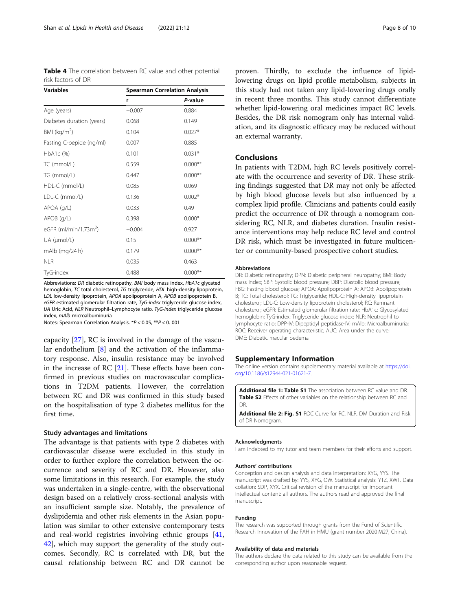<span id="page-7-0"></span>

| <b>Table 4</b> The correlation between RC value and other potential |  |  |  |  |
|---------------------------------------------------------------------|--|--|--|--|
| risk factors of DR                                                  |  |  |  |  |

| <b>Variables</b>                  | <b>Spearman Correlation Analysis</b> |           |  |  |  |
|-----------------------------------|--------------------------------------|-----------|--|--|--|
|                                   | r                                    | P-value   |  |  |  |
| Age (years)                       | $-0.007$                             | 0.884     |  |  |  |
| Diabetes duration (years)         | 0.068                                | 0.149     |  |  |  |
| BMI ( $kg/m2$ )                   | 0.104                                | $0.027*$  |  |  |  |
| Fasting C-pepide (ng/ml)          | 0.007                                | 0.885     |  |  |  |
| $HbA1c$ (%)                       | 0.101                                | $0.031*$  |  |  |  |
| TC (mmol/L)                       | 0.559                                | $0.000**$ |  |  |  |
| TG (mmol/L)                       | 0.447                                | $0.000**$ |  |  |  |
| HDL-C (mmol/L)                    | 0.085                                | 0.069     |  |  |  |
| LDL-C (mmol/L)                    | 0.136                                | $0.002*$  |  |  |  |
| APOA (g/L)                        | 0.033                                | 0.49      |  |  |  |
| APOB (g/L)                        | 0.398                                | $0.000*$  |  |  |  |
| eGFR (ml/min/1.73m <sup>2</sup> ) | $-0.004$                             | 0.927     |  |  |  |
| UA (µmol/L)                       | 0.15                                 | $0.000**$ |  |  |  |
| mAlb (mg/24 h)                    | 0.179                                | $0.000**$ |  |  |  |
| <b>NLR</b>                        | 0.035                                | 0.463     |  |  |  |
| TyG-index                         | 0.488                                | $0.000**$ |  |  |  |

Abbreviations: DR diabetic retinopathy, BMI body mass index, HbA1c glycated hemoglobin, TC total cholesterol, TG triglyceride, HDL high-density lipoprotein, LDL low-density lipoprotein, APOA apolipoprotein A, APOB apolipoprotein B, eGFR estimated glomerular filtration rate, TyG-index triglyceride glucose index, UA Uric Acid, NLR Neutrophil–Lymphocyte ratio, TyG-index triglyceride glucose index, mAlb microalbuminuria

Notes: Spearman Correlation Analysis. \*P < 0.05, \*\*P < 0. 001

capacity [[27\]](#page-8-0), RC is involved in the damage of the vascular endothelium [[8](#page-8-0)] and the activation of the inflammatory response. Also, insulin resistance may be involved in the increase of RC [[21](#page-8-0)]. These effects have been confirmed in previous studies on macrovascular complications in T2DM patients. However, the correlation between RC and DR was confirmed in this study based on the hospitalisation of type 2 diabetes mellitus for the first time.

#### Study advantages and limitations

The advantage is that patients with type 2 diabetes with cardiovascular disease were excluded in this study in order to further explore the correlation between the occurrence and severity of RC and DR. However, also some limitations in this research. For example, the study was undertaken in a single-centre, with the observational design based on a relatively cross-sectional analysis with an insufficient sample size. Notably, the prevalence of dyslipidemia and other risk elements in the Asian population was similar to other extensive contemporary tests and real-world registries involving ethnic groups [[41](#page-9-0), [42\]](#page-9-0), which may support the generality of the study outcomes. Secondly, RC is correlated with DR, but the causal relationship between RC and DR cannot be

proven. Thirdly, to exclude the influence of lipidlowering drugs on lipid profile metabolism, subjects in this study had not taken any lipid-lowering drugs orally in recent three months. This study cannot differentiate whether lipid-lowering oral medicines impact RC levels. Besides, the DR risk nomogram only has internal validation, and its diagnostic efficacy may be reduced without an external warranty.

#### Conclusions

In patients with T2DM, high RC levels positively correlate with the occurrence and severity of DR. These striking findings suggested that DR may not only be affected by high blood glucose levels but also influenced by a complex lipid profile. Clinicians and patients could easily predict the occurrence of DR through a nomogram considering RC, NLR, and diabetes duration. Insulin resistance interventions may help reduce RC level and control DR risk, which must be investigated in future multicenter or community-based prospective cohort studies.

#### Abbreviations

DR: Diabetic retinopathy; DPN: Diabetic peripheral neuropathy; BMI: Body mass index; SBP: Systolic blood pressure; DBP: Diastolic blood pressure; FBG: Fasting blood glucose; APOA: Apolipoprotein A; APOB: Apolipoprotein B; TC: Total cholesterol; TG: Triglyceride; HDL-C: High-density lipoprotein cholesterol; LDL-C: Low-density lipoprotein cholesterol; RC: Remnant cholesterol; eGFR: Estimated glomerular filtration rate; HbA1c: Glycosylated hemoglobin; TyG-index: Triglyceride glucose index; NLR: Neutrophil to lymphocyte ratio; DPP-IV: Dipeptidyl peptidase-IV; mAlb: Microalbuminuria; ROC: Receiver operating characteristic; AUC: Area under the curve; DME: Diabetic macular oedema

#### Supplementary Information

The online version contains supplementary material available at [https://doi.](https://doi.org/10.1186/s12944-021-01621-7) [org/10.1186/s12944-021-01621-7.](https://doi.org/10.1186/s12944-021-01621-7)

Additional file 1: Table S1 The association between RC value and DR. Table S2 Effects of other variables on the relationship between RC and DR.

Additional file 2: Fig. S1 ROC Curve for RC, NLR, DM Duration and Risk of DR Nomogram.

#### Acknowledgments

I am indebted to my tutor and team members for their efforts and support.

#### Authors' contributions

Conception and design analysis and data interpretation: XYG, YYS. The manuscript was drafted by: YYS, XYG, QW. Statistical analysis: YTZ, XWT. Data collation: SDP, XYX. Critical revision of the manuscript for important intellectual content: all authors. The authors read and approved the final manuscript.

#### Funding

The research was supported through grants from the Fund of Scientific Research Innovation of the FAH in HMU (grant number 2020 M27, China).

#### Availability of data and materials

The authors declare the data related to this study can be available from the corresponding author upon reasonable request.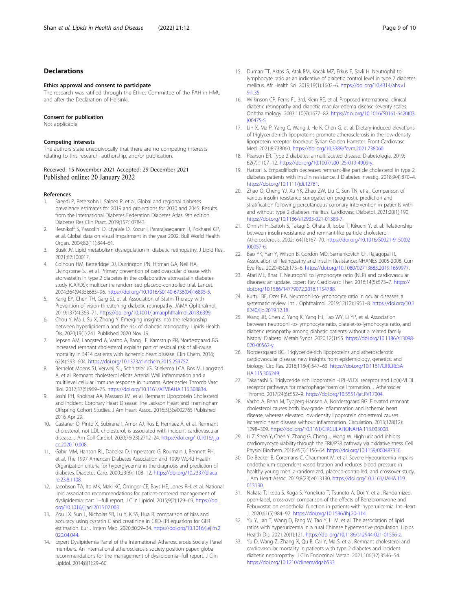#### <span id="page-8-0"></span>Declarations

#### Ethics approval and consent to participate

The research was ratified through the Ethics Committee of the FAH in HMU and after the Declaration of Helsinki.

#### Consent for publication

Not applicable.

#### Competing interests

The authors state unequivocally that there are no competing interests relating to this research, authorship, and/or publication.

## Received: 15 November 2021 Accepted: 29 December 2021

#### References

- Saeedi P, Petersohn I, Salpea P, et al. Global and regional diabetes prevalence estimates for 2019 and projections for 2030 and 2045: Results from the International Diabetes Federation Diabetes Atlas, 9th edition. Diabetes Res Clin Pract. 2019;157:107843.
- 2. Resnikoff S, Pascolini D, Etya'ale D, Kocur I, Pararajasegaram R, Pokharel GP, et al. Global data on visual impairment in the year 2002. Bull World Health Organ. 2004;82(11):844–51.
- 3. Busik JV. Lipid metabolism dysregulation in diabetic retinopathy. J Lipid Res. 2021;62:100017.
- 4. Colhoun HM, Betteridge DJ, Durrington PN, Hitman GA, Neil HA, Livingstone SJ, et al. Primary prevention of cardiovascular disease with atorvastatin in type 2 diabetes in the collaborative atorvastatin diabetes study (CARDS): multicentre randomised placebo-controlled trial. Lancet. 2004;364(9435):685–96. [https://doi.org/10.1016/S0140-6736\(04\)16895-5](https://doi.org/10.1016/S0140-6736(04)16895-5).
- Kang EY, Chen TH, Garg SJ, et al. Association of Statin Therapy with Prevention of vision-threatening diabetic retinopathy. JAMA Ophthalmol. 2019;137(4):363–71. [https://doi.org/10.1001/jamaophthalmol.2018.6399.](https://doi.org/10.1001/jamaophthalmol.2018.6399)
- 6. Chou Y, Ma J, Su X, Zhong Y. Emerging insights into the relationship between hyperlipidemia and the risk of diabetic retinopathy. Lipids Health Dis. 2020;19(1):241 Published 2020 Nov 19.
- 7. Jepsen AM, Langsted A, Varbo A, Bang LE, Kamstrup PR, Nordestgaard BG. Increased remnant cholesterol explains part of residual risk of all-cause mortality in 5414 patients with ischemic heart disease. Clin Chem. 2016; 62(4):593–604. [https://doi.org/10.1373/clinchem.2015.253757.](https://doi.org/10.1373/clinchem.2015.253757)
- 8. Bernelot Moens SJ, Verweij SL, Schnitzler JG, Stiekema LCA, Bos M, Langsted A, et al. Remnant cholesterol elicits Arterial Wall inflammation and a multilevel cellular immune response in humans. Arterioscler Thromb Vasc Biol. 2017;37(5):969–75. [https://doi.org/10.1161/ATVBAHA.116.308834.](https://doi.org/10.1161/ATVBAHA.116.308834)
- Joshi PH, Khokhar AA, Massaro JM, et al. Remnant Lipoprotein Cholesterol and Incident Coronary Heart Disease: The Jackson Heart and Framingham Offspring Cohort Studies. J Am Heart Assoc. 2016;5(5):e002765 Published 2016 Apr 29.
- 10. Castañer O, Pintó X, Subirana I, Amor AJ, Ros E, Hernáez Á, et al. Remnant cholesterol, not LDL cholesterol, is associated with incident cardiovascular disease. J Am Coll Cardiol. 2020;76(23):2712–24. [https://doi.org/10.1016/j.ja](https://doi.org/10.1016/j.jacc.2020.10.008) [cc.2020.10.008](https://doi.org/10.1016/j.jacc.2020.10.008).
- 11. Gabir MM, Hanson RL, Dabelea D, Imperatore G, Roumain J, Bennett PH, et al. The 1997 American Diabetes Association and 1999 World Health Organization criteria for hyperglycemia in the diagnosis and prediction of diabetes. Diabetes Care. 2000;23(8):1108–12. [https://doi.org/10.2337/diaca](https://doi.org/10.2337/diacare.23.8.1108) [re.23.8.1108.](https://doi.org/10.2337/diacare.23.8.1108)
- 12. Jacobson TA, Ito MK, Maki KC, Orringer CE, Bays HE, Jones PH, et al. National lipid association recommendations for patient-centered management of dyslipidemia: part 1--full report. J Clin Lipidol. 2015;9(2):129–69. [https://doi.](https://doi.org/10.1016/j.jacl.2015.02.003) [org/10.1016/j.jacl.2015.02.003](https://doi.org/10.1016/j.jacl.2015.02.003).
- 13. Zou LX. Sun L, Nicholas SB, Lu Y, K SS, Hua R. comparison of bias and accuracy using cystatin C and creatinine in CKD-EPI equations for GFR estimation. Eur J Intern Med. 2020;80:29–34. [https://doi.org/10.1016/j.ejim.2](https://doi.org/10.1016/j.ejim.2020.04.044) [020.04.044](https://doi.org/10.1016/j.ejim.2020.04.044).
- 14. Expert Dyslipidemia Panel of the International Atherosclerosis Society Panel members. An international atherosclerosis society position paper: global recommendations for the management of dyslipidemia--full report. J Clin Lipidol. 2014;8(1):29–60.
- 15. Duman TT, Aktas G, Atak BM, Kocak MZ, Erkus E, Savli H. Neutrophil to lymphocyte ratio as an indicative of diabetic control level in type 2 diabetes mellitus. Afr Health Sci. 2019;19(1):1602–6. [https://doi.org/10.4314/ahs.v1](https://doi.org/10.4314/ahs.v19i1.35) [9i1.35](https://doi.org/10.4314/ahs.v19i1.35).
- 16. Wilkinson CP, Ferris FL 3rd, Klein RE, et al. Proposed international clinical diabetic retinopathy and diabetic macular edema disease severity scales. Ophthalmology. 2003;110(9):1677–82. [https://doi.org/10.1016/S0161-6420\(03](https://doi.org/10.1016/S0161-6420(03)00475-5) [\)00475-5](https://doi.org/10.1016/S0161-6420(03)00475-5).
- 17. Lin X, Ma P, Yang C, Wang J, He K, Chen G, et al. Dietary-induced elevations of triglyceride-rich lipoproteins promote atherosclerosis in the low-density lipoprotein receptor knockout Syrian Golden Hamster. Front Cardiovasc Med. 2021;8:738060. [https://doi.org/10.3389/fcvm.2021.738060.](https://doi.org/10.3389/fcvm.2021.738060)
- 18. Pearson ER. Type 2 diabetes: a multifaceted disease. Diabetologia. 2019; 62(7):1107–12. <https://doi.org/10.1007/s00125-019-4909-y>.
- 19. Hattori S. Empagliflozin decreases remnant-like particle cholesterol in type 2 diabetes patients with insulin resistance. J Diabetes Investig. 2018;9(4):870–4. [https://doi.org/10.1111/jdi.12781.](https://doi.org/10.1111/jdi.12781)
- 20. Zhao Q, Cheng YJ, Xu YK, Zhao ZW, Liu C, Sun TN, et al. Comparison of various insulin resistance surrogates on prognostic prediction and stratification following percutaneous coronary intervention in patients with and without type 2 diabetes mellitus. Cardiovasc Diabetol. 2021;20(1):190. [https://doi.org/10.1186/s12933-021-01383-7.](https://doi.org/10.1186/s12933-021-01383-7)
- 21. Ohnishi H, Saitoh S, Takagi S, Ohata JI, Isobe T, Kikuchi Y, et al. Relationship between insulin-resistance and remnant-like particle cholesterol. Atherosclerosis. 2002;164(1):167–70. [https://doi.org/10.1016/S0021-9150\(02](https://doi.org/10.1016/S0021-9150(02)00057-6) [\)00057-6](https://doi.org/10.1016/S0021-9150(02)00057-6).
- 22. Bao YK, Yan Y, Wilson B, Gordon MO, Semenkovich CF, Rajagopal R. Association of Retinopathy and Insulin Resistance: NHANES 2005-2008. Curr Eye Res. 2020;45(2):173–6. [https://doi.org/10.1080/02713683.2019.1659977.](https://doi.org/10.1080/02713683.2019.1659977)
- 23. Afari ME, Bhat T. Neutrophil to lymphocyte ratio (NLR) and cardiovascular diseases: an update. Expert Rev Cardiovasc Ther. 2016;14(5):573–7. [https://](https://doi.org/10.1586/14779072.2016.1154788) [doi.org/10.1586/14779072.2016.1154788.](https://doi.org/10.1586/14779072.2016.1154788)
- 24. Kurtul BE, Ozer PA. Neutrophil-to-lymphocyte ratio in ocular diseases: a systematic review. Int J Ophthalmol. 2019;12(12):1951–8. [https://doi.org/10.1](https://doi.org/10.18240/ijo.2019.12.18) [8240/ijo.2019.12.18](https://doi.org/10.18240/ijo.2019.12.18).
- 25. Wang JR, Chen Z, Yang K, Yang HJ, Tao WY, Li YP, et al. Association between neutrophil-to-lymphocyte ratio, platelet-to-lymphocyte ratio, and diabetic retinopathy among diabetic patients without a related family history. Diabetol Metab Syndr. 2020;12(1):55. [https://doi.org/10.1186/s13098-](https://doi.org/10.1186/s13098-020-00562-y) [020-00562-y](https://doi.org/10.1186/s13098-020-00562-y).
- 26. Nordestgaard BG. Triglyceride-rich lipoproteins and atherosclerotic cardiovascular disease: new insights from epidemiology, genetics, and biology. Circ Res. 2016;118(4):547–63. [https://doi.org/10.1161/CIRCRESA](https://doi.org/10.1161/CIRCRESAHA.115.306249) [HA.115.306249](https://doi.org/10.1161/CIRCRESAHA.115.306249).
- 27. Takahashi S. Triglyceride rich lipoprotein -LPL-VLDL receptor and Lp(a)-VLDL receptor pathways for macrophage foam cell formation. J Atheroscler Thromb. 2017;24(6):552–9. <https://doi.org/10.5551/jat.RV17004>.
- 28. Varbo A, Benn M, Tybjærg-Hansen A, Nordestgaard BG. Elevated remnant cholesterol causes both low-grade inflammation and ischemic heart disease, whereas elevated low-density lipoprotein cholesterol causes ischemic heart disease without inflammation. Circulation. 2013;128(12): 1298–309. <https://doi.org/10.1161/CIRCULATIONAHA.113.003008>.
- 29. Li Z, Shen Y, Chen Y, Zhang G, Cheng J, Wang W. High uric acid inhibits cardiomyocyte viability through the ERK/P38 pathway via oxidative stress. Cell Physiol Biochem. 2018;45(3):1156–64. [https://doi.org/10.1159/000487356.](https://doi.org/10.1159/000487356)
- 30. De Becker B, Coremans C, Chaumont M, et al. Severe Hypouricemia impairs endothelium-dependent vasodilatation and reduces blood pressure in healthy young men: a randomized, placebo-controlled, and crossover study. J Am Heart Assoc. 2019;8(23):e013130. [https://doi.org/10.1161/JAHA.119.](https://doi.org/10.1161/JAHA.119.013130) [013130](https://doi.org/10.1161/JAHA.119.013130).
- 31. Nakata T, Ikeda S, Koga S, Yonekura T, Tsuneto A, Doi Y, et al. Randomized, open-label, cross-over comparison of the effects of Benzbromarone and Febuxostat on endothelial function in patients with hyperuricemia. Int Heart J. 2020;61(5):984–92. [https://doi.org/10.1536/ihj.20-114.](https://doi.org/10.1536/ihj.20-114)
- 32. Yu Y, Lan T, Wang D, Fang W, Tao Y, Li M, et al. The association of lipid ratios with hyperuricemia in a rural Chinese hypertensive population. Lipids Health Dis. 2021;20(1):121. <https://doi.org/10.1186/s12944-021-01556-z>.
- 33. Yu D, Wang Z, Zhang X, Qu B, Cai Y, Ma S, et al. Remnant cholesterol and cardiovascular mortality in patients with type 2 diabetes and incident diabetic nephropathy. J Clin Endocrinol Metab. 2021;106(12):3546–54. <https://doi.org/10.1210/clinem/dgab533>.